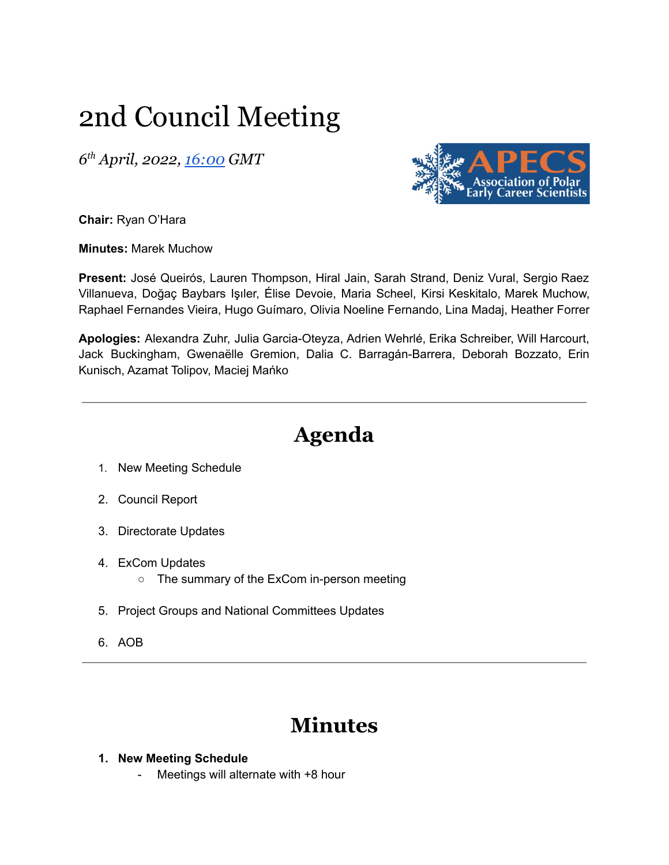# 2nd Council Meeting

*6 th April, 2022, [16:00](https://us02web.zoom.us/j/85736437370?pwd=WlZiaGxyVURER2NZTjU5SkNza3lIQT09) GMT*



**Chair:** Ryan O'Hara

**Minutes:** Marek Muchow

**Present:** José Queirós, Lauren Thompson, Hiral Jain, Sarah Strand, Deniz Vural, Sergio Raez Villanueva, Doğaç Baybars Işıler, Élise Devoie, Maria Scheel, Kirsi Keskitalo, Marek Muchow, Raphael Fernandes Vieira, Hugo Guímaro, Olivia Noeline Fernando, Lina Madaj, Heather Forrer

**Apologies:** Alexandra Zuhr, Julia Garcia-Oteyza, Adrien Wehrlé, Erika Schreiber, Will Harcourt, Jack Buckingham, Gwenaëlle Gremion, Dalia C. Barragán-Barrera, Deborah Bozzato, Erin Kunisch, Azamat Tolipov, Maciej Mańko

## **Agenda**

- 1. New Meeting Schedule
- 2. Council Report
- 3. Directorate Updates
- 4. ExCom Updates
	- The summary of the ExCom in-person meeting
- 5. Project Groups and National Committees Updates
- 6. AOB

### **Minutes**

#### **1. New Meeting Schedule**

- Meetings will alternate with +8 hour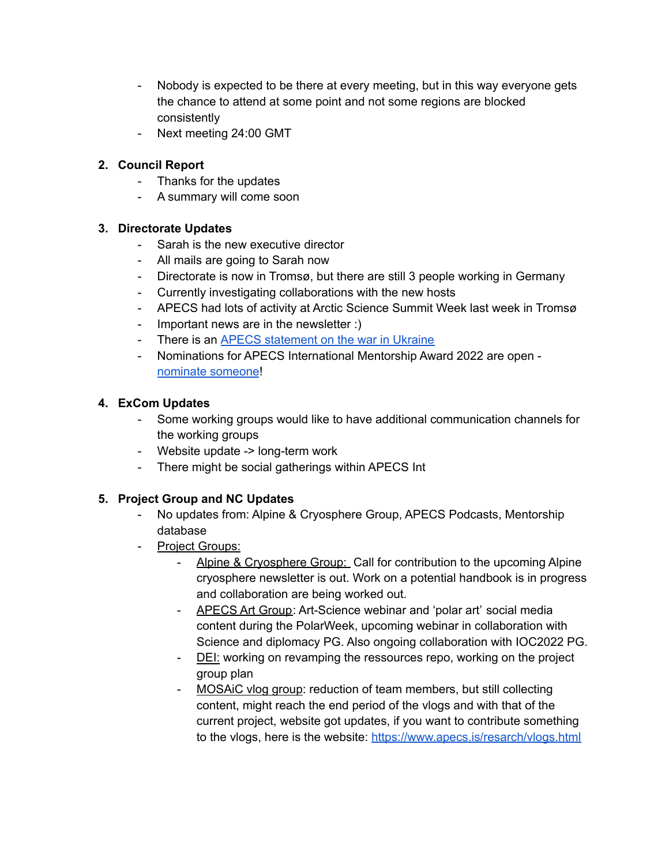- Nobody is expected to be there at every meeting, but in this way everyone gets the chance to attend at some point and not some regions are blocked consistently
- Next meeting 24:00 GMT

#### **2. Council Report**

- Thanks for the updates
- A summary will come soon

#### **3. Directorate Updates**

- Sarah is the new executive director
- All mails are going to Sarah now
- Directorate is now in Tromsø, but there are still 3 people working in Germany
- Currently investigating collaborations with the new hosts
- APECS had lots of activity at Arctic Science Summit Week last week in Tromsø
- Important news are in the newsletter :)
- There is an APECS [statement](https://apecs.is/news/apecs-news/4967-apecs-statement-on-the-invasion-of-ukraine.html) on the war in Ukraine
- Nominations for APECS International Mentorship Award 2022 are open [nominate](https://apecs.is/mentors/mentorship-award.html) someone!

#### **4. ExCom Updates**

- Some working groups would like to have additional communication channels for the working groups
- Website update -> long-term work
- There might be social gatherings within APECS Int

#### **5. Project Group and NC Updates**

- No updates from: Alpine & Cryosphere Group, APECS Podcasts, Mentorship database
- Project Groups:
	- Alpine & Cryosphere Group: Call for contribution to the upcoming Alpine cryosphere newsletter is out. Work on a potential handbook is in progress and collaboration are being worked out.
	- APECS Art Group: Art-Science webinar and 'polar art' social media content during the PolarWeek, upcoming webinar in collaboration with Science and diplomacy PG. Also ongoing collaboration with IOC2022 PG.
	- DEI: working on revamping the ressources repo, working on the project group plan
	- MOSAIC vlog group: reduction of team members, but still collecting content, might reach the end period of the vlogs and with that of the current project, website got updates, if you want to contribute something to the vlogs, here is the website: <https://www.apecs.is/resarch/vlogs.html>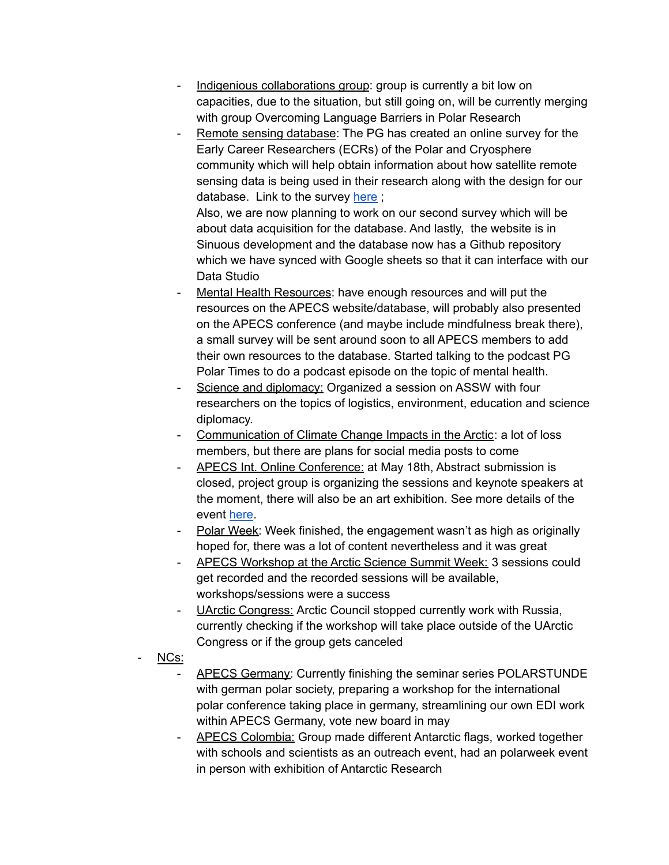- Indigenious collaborations group: group is currently a bit low on capacities, due to the situation, but still going on, will be currently merging with group Overcoming Language Barriers in Polar Research
- Remote sensing database: The PG has created an online survey for the Early Career Researchers (ECRs) of the Polar and Cryosphere community which will help obtain information about how satellite remote sensing data is being used in their research along with the design for our database. Link to the survey [here](https://www.apecs.is/news/apecs-news/4960-survey-on-polar-remote-sensing-building-a-future-online-resource.html);

Also, we are now planning to work on our second survey which will be about data acquisition for the database. And lastly, the website is in Sinuous development and the database now has a Github repository which we have synced with Google sheets so that it can interface with our Data Studio

- Mental Health Resources: have enough resources and will put the resources on the APECS website/database, will probably also presented on the APECS conference (and maybe include mindfulness break there), a small survey will be sent around soon to all APECS members to add their own resources to the database. Started talking to the podcast PG Polar Times to do a podcast episode on the topic of mental health.
- Science and diplomacy: Organized a session on ASSW with four researchers on the topics of logistics, environment, education and science diplomacy.
- Communication of Climate Change Impacts in the Arctic: a lot of loss members, but there are plans for social media posts to come
- APECS Int. Online Conference: at May 18th, Abstract submission is closed, project group is organizing the sessions and keynote speakers at the moment, there will also be an art exhibition. See more details of the event [here.](https://www.apecs.is/events/upcoming-event-highlights/apecs-international-online-conference-2022.html)
- Polar Week: Week finished, the engagement wasn't as high as originally hoped for, there was a lot of content nevertheless and it was great
- APECS Workshop at the Arctic Science Summit Week: 3 sessions could get recorded and the recorded sessions will be available, workshops/sessions were a success
- UArctic Congress: Arctic Council stopped currently work with Russia, currently checking if the workshop will take place outside of the UArctic Congress or if the group gets canceled
- NCs:
	- APECS Germany: Currently finishing the seminar series POLARSTUNDE with german polar society, preparing a workshop for the international polar conference taking place in germany, streamlining our own EDI work within APECS Germany, vote new board in may
	- APECS Colombia: Group made different Antarctic flags, worked together with schools and scientists as an outreach event, had an polarweek event in person with exhibition of Antarctic Research